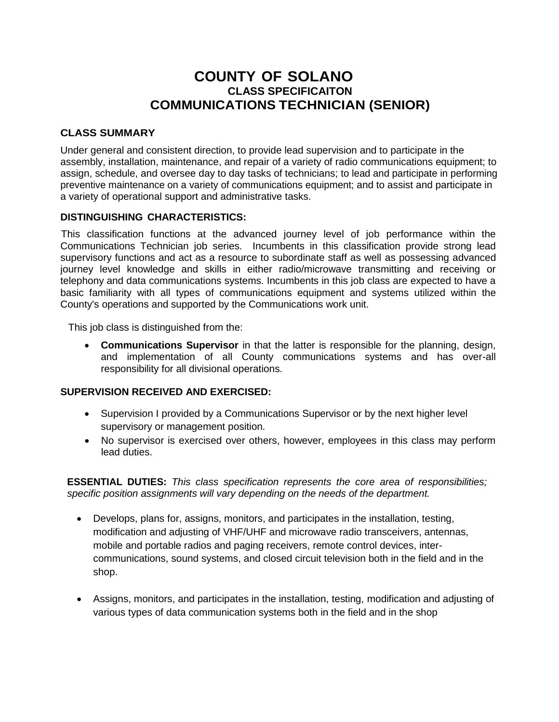# **COUNTY OF SOLANO CLASS SPECIFICAITON COMMUNICATIONS TECHNICIAN (SENIOR)**

### **CLASS SUMMARY**

Under general and consistent direction, to provide lead supervision and to participate in the assembly, installation, maintenance, and repair of a variety of radio communications equipment; to assign, schedule, and oversee day to day tasks of technicians; to lead and participate in performing preventive maintenance on a variety of communications equipment; and to assist and participate in a variety of operational support and administrative tasks.

#### **DISTINGUISHING CHARACTERISTICS:**

This classification functions at the advanced journey level of job performance within the Communications Technician job series. Incumbents in this classification provide strong lead supervisory functions and act as a resource to subordinate staff as well as possessing advanced journey level knowledge and skills in either radio/microwave transmitting and receiving or telephony and data communications systems. Incumbents in this job class are expected to have a basic familiarity with all types of communications equipment and systems utilized within the County's operations and supported by the Communications work unit.

This job class is distinguished from the:

 **Communications Supervisor** in that the latter is responsible for the planning, design, and implementation of all County communications systems and has over-all responsibility for all divisional operations.

#### **SUPERVISION RECEIVED AND EXERCISED:**

- Supervision I provided by a Communications Supervisor or by the next higher level supervisory or management position.
- No supervisor is exercised over others, however, employees in this class may perform lead duties.

**ESSENTIAL DUTIES:** *This class specification represents the core area of responsibilities; specific position assignments will vary depending on the needs of the department.*

- Develops, plans for, assigns, monitors, and participates in the installation, testing, modification and adjusting of VHF/UHF and microwave radio transceivers, antennas, mobile and portable radios and paging receivers, remote control devices, intercommunications, sound systems, and closed circuit television both in the field and in the shop.
- Assigns, monitors, and participates in the installation, testing, modification and adjusting of various types of data communication systems both in the field and in the shop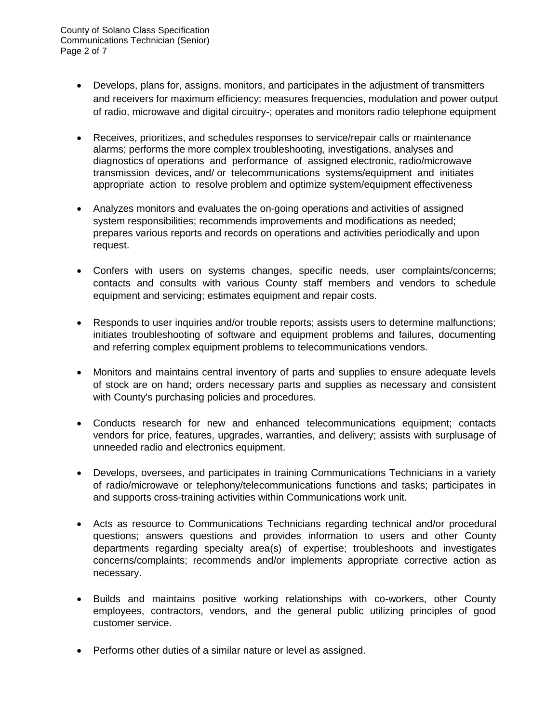- Develops, plans for, assigns, monitors, and participates in the adjustment of transmitters and receivers for maximum efficiency; measures frequencies, modulation and power output of radio, microwave and digital circuitry-; operates and monitors radio telephone equipment
- Receives, prioritizes, and schedules responses to service/repair calls or maintenance alarms; performs the more complex troubleshooting, investigations, analyses and diagnostics of operations and performance of assigned electronic, radio/microwave transmission devices, and/ or telecommunications systems/equipment and initiates appropriate action to resolve problem and optimize system/equipment effectiveness
- Analyzes monitors and evaluates the on-going operations and activities of assigned system responsibilities; recommends improvements and modifications as needed; prepares various reports and records on operations and activities periodically and upon request.
- Confers with users on systems changes, specific needs, user complaints/concerns; contacts and consults with various County staff members and vendors to schedule equipment and servicing; estimates equipment and repair costs.
- Responds to user inquiries and/or trouble reports; assists users to determine malfunctions; initiates troubleshooting of software and equipment problems and failures, documenting and referring complex equipment problems to telecommunications vendors.
- Monitors and maintains central inventory of parts and supplies to ensure adequate levels of stock are on hand; orders necessary parts and supplies as necessary and consistent with County's purchasing policies and procedures.
- Conducts research for new and enhanced telecommunications equipment; contacts vendors for price, features, upgrades, warranties, and delivery; assists with surplusage of unneeded radio and electronics equipment.
- Develops, oversees, and participates in training Communications Technicians in a variety of radio/microwave or telephony/telecommunications functions and tasks; participates in and supports cross-training activities within Communications work unit.
- Acts as resource to Communications Technicians regarding technical and/or procedural questions; answers questions and provides information to users and other County departments regarding specialty area(s) of expertise; troubleshoots and investigates concerns/complaints; recommends and/or implements appropriate corrective action as necessary.
- Builds and maintains positive working relationships with co-workers, other County employees, contractors, vendors, and the general public utilizing principles of good customer service.
- Performs other duties of a similar nature or level as assigned.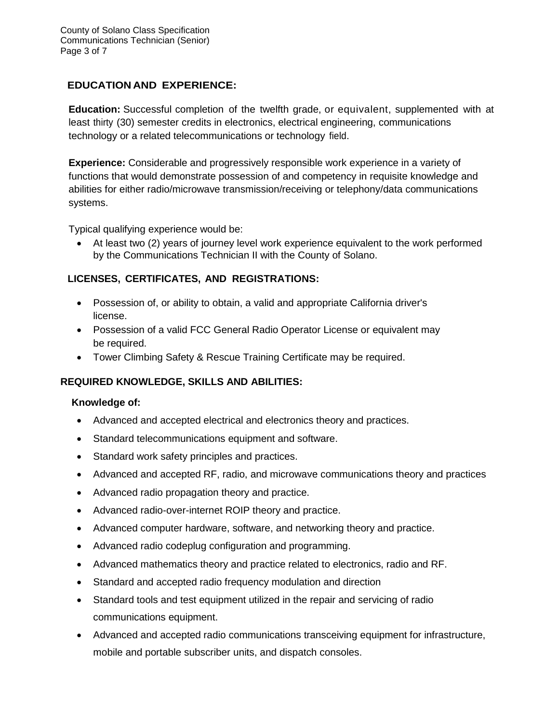# **EDUCATION AND EXPERIENCE:**

**Education:** Successful completion of the twelfth grade, or equivalent, supplemented with at least thirty (30) semester credits in electronics, electrical engineering, communications technology or a related telecommunications or technology field.

**Experience:** Considerable and progressively responsible work experience in a variety of functions that would demonstrate possession of and competency in requisite knowledge and abilities for either radio/microwave transmission/receiving or telephony/data communications systems.

Typical qualifying experience would be:

 At least two (2) years of journey level work experience equivalent to the work performed by the Communications Technician II with the County of Solano.

## **LICENSES, CERTIFICATES, AND REGISTRATIONS:**

- Possession of, or ability to obtain, a valid and appropriate California driver's license.
- Possession of a valid FCC General Radio Operator License or equivalent may be required.
- Tower Climbing Safety & Rescue Training Certificate may be required.

#### **REQUIRED KNOWLEDGE, SKILLS AND ABILITIES:**

#### **Knowledge of:**

- Advanced and accepted electrical and electronics theory and practices.
- Standard telecommunications equipment and software.
- Standard work safety principles and practices.
- Advanced and accepted RF, radio, and microwave communications theory and practices
- Advanced radio propagation theory and practice.
- Advanced radio-over-internet ROIP theory and practice.
- Advanced computer hardware, software, and networking theory and practice.
- Advanced radio codeplug configuration and programming.
- Advanced mathematics theory and practice related to electronics, radio and RF.
- Standard and accepted radio frequency modulation and direction
- Standard tools and test equipment utilized in the repair and servicing of radio communications equipment.
- Advanced and accepted radio communications transceiving equipment for infrastructure, mobile and portable subscriber units, and dispatch consoles.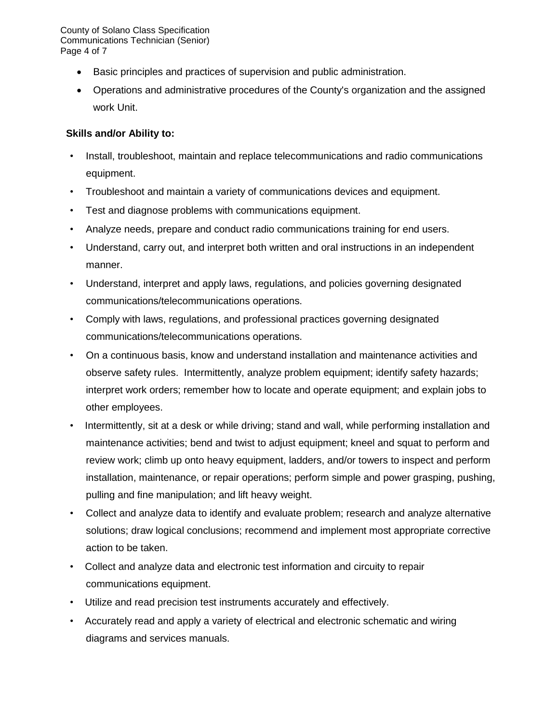County of Solano Class Specification Communications Technician (Senior) Page 4 of 7

- Basic principles and practices of supervision and public administration.
- Operations and administrative procedures of the County's organization and the assigned work Unit.

## **Skills and/or Ability to:**

- Install, troubleshoot, maintain and replace telecommunications and radio communications equipment.
- Troubleshoot and maintain a variety of communications devices and equipment.
- Test and diagnose problems with communications equipment.
- Analyze needs, prepare and conduct radio communications training for end users.
- Understand, carry out, and interpret both written and oral instructions in an independent manner.
- Understand, interpret and apply laws, regulations, and policies governing designated communications/telecommunications operations.
- Comply with laws, regulations, and professional practices governing designated communications/telecommunications operations.
- On a continuous basis, know and understand installation and maintenance activities and observe safety rules. Intermittently, analyze problem equipment; identify safety hazards; interpret work orders; remember how to locate and operate equipment; and explain jobs to other employees.
- Intermittently, sit at a desk or while driving; stand and wall, while performing installation and maintenance activities; bend and twist to adjust equipment; kneel and squat to perform and review work; climb up onto heavy equipment, ladders, and/or towers to inspect and perform installation, maintenance, or repair operations; perform simple and power grasping, pushing, pulling and fine manipulation; and lift heavy weight.
- Collect and analyze data to identify and evaluate problem; research and analyze alternative solutions; draw logical conclusions; recommend and implement most appropriate corrective action to be taken.
- Collect and analyze data and electronic test information and circuity to repair communications equipment.
- Utilize and read precision test instruments accurately and effectively.
- Accurately read and apply a variety of electrical and electronic schematic and wiring diagrams and services manuals.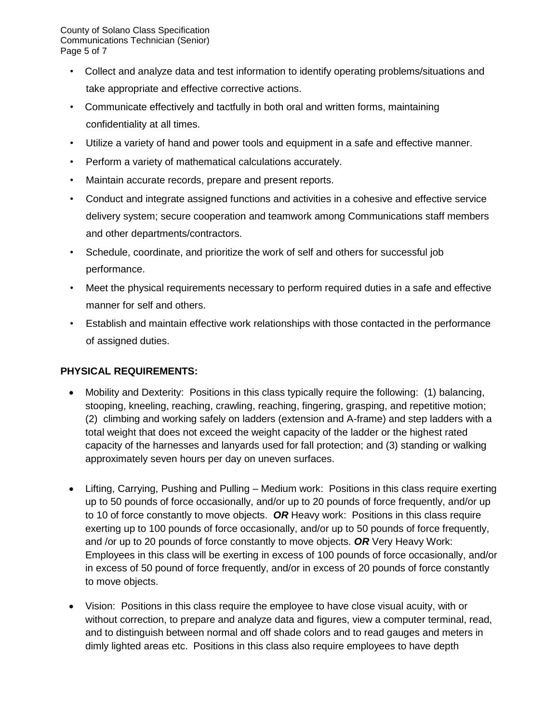County of Solano Class Specification Communications Technician (Senior) Page 5 of 7

- Collect and analyze data and test information to identify operating problems/situations and take appropriate and effective corrective actions.
- Communicate effectively and tactfully in both oral and written forms, maintaining confidentiality at all times.
- Utilize a variety of hand and power tools and equipment in a safe and effective manner.
- Perform a variety of mathematical calculations accurately.
- Maintain accurate records, prepare and present reports.
- Conduct and integrate assigned functions and activities in a cohesive and effective service delivery system; secure cooperation and teamwork among Communications staff members and other departments/contractors.
- Schedule, coordinate, and prioritize the work of self and others for successful job performance.
- Meet the physical requirements necessary to perform required duties in a safe and effective manner for self and others.
- Establish and maintain effective work relationships with those contacted in the performance of assigned duties.

# **PHYSICAL REQUIREMENTS:**

- Mobility and Dexterity: Positions in this class typically require the following: (1) balancing, stooping, kneeling, reaching, crawling, reaching, fingering, grasping, and repetitive motion; (2) climbing and working safely on ladders (extension and A-frame) and step ladders with a total weight that does not exceed the weight capacity of the ladder or the highest rated capacity of the harnesses and lanyards used for fall protection; and (3) standing or walking approximately seven hours per day on uneven surfaces.
- Lifting, Carrying, Pushing and Pulling Medium work: Positions in this class require exerting up to 50 pounds of force occasionally, and/or up to 20 pounds of force frequently, and/or up to 10 of force constantly to move objects. *OR* Heavy work: Positions in this class require exerting up to 100 pounds of force occasionally, and/or up to 50 pounds of force frequently, and /or up to 20 pounds of force constantly to move objects. *OR* Very Heavy Work: Employees in this class will be exerting in excess of 100 pounds of force occasionally, and/or in excess of 50 pound of force frequently, and/or in excess of 20 pounds of force constantly to move objects.
- Vision: Positions in this class require the employee to have close visual acuity, with or without correction, to prepare and analyze data and figures, view a computer terminal, read, and to distinguish between normal and off shade colors and to read gauges and meters in dimly lighted areas etc. Positions in this class also require employees to have depth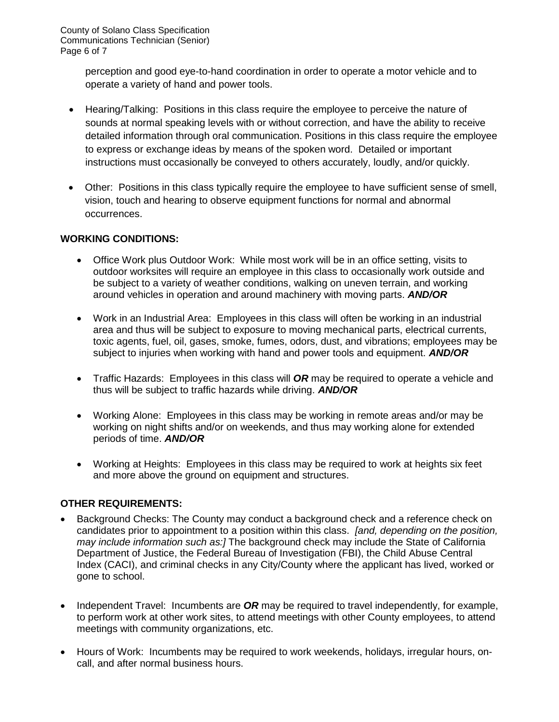perception and good eye-to-hand coordination in order to operate a motor vehicle and to operate a variety of hand and power tools.

- Hearing/Talking: Positions in this class require the employee to perceive the nature of sounds at normal speaking levels with or without correction, and have the ability to receive detailed information through oral communication. Positions in this class require the employee to express or exchange ideas by means of the spoken word. Detailed or important instructions must occasionally be conveyed to others accurately, loudly, and/or quickly.
- Other: Positions in this class typically require the employee to have sufficient sense of smell, vision, touch and hearing to observe equipment functions for normal and abnormal occurrences.

## **WORKING CONDITIONS:**

- Office Work plus Outdoor Work: While most work will be in an office setting, visits to outdoor worksites will require an employee in this class to occasionally work outside and be subject to a variety of weather conditions, walking on uneven terrain, and working around vehicles in operation and around machinery with moving parts. *AND/OR*
- Work in an Industrial Area: Employees in this class will often be working in an industrial area and thus will be subject to exposure to moving mechanical parts, electrical currents, toxic agents, fuel, oil, gases, smoke, fumes, odors, dust, and vibrations; employees may be subject to injuries when working with hand and power tools and equipment. *AND/OR*
- Traffic Hazards: Employees in this class will *OR* may be required to operate a vehicle and thus will be subject to traffic hazards while driving. *AND/OR*
- Working Alone: Employees in this class may be working in remote areas and/or may be working on night shifts and/or on weekends, and thus may working alone for extended periods of time. *AND/OR*
- Working at Heights: Employees in this class may be required to work at heights six feet and more above the ground on equipment and structures.

# **OTHER REQUIREMENTS:**

- Background Checks: The County may conduct a background check and a reference check on candidates prior to appointment to a position within this class. *[and, depending on the position, may include information such as:]* The background check may include the State of California Department of Justice, the Federal Bureau of Investigation (FBI), the Child Abuse Central Index (CACI), and criminal checks in any City/County where the applicant has lived, worked or gone to school.
- Independent Travel: Incumbents are OR may be required to travel independently, for example, to perform work at other work sites, to attend meetings with other County employees, to attend meetings with community organizations, etc.
- Hours of Work: Incumbents may be required to work weekends, holidays, irregular hours, oncall, and after normal business hours.